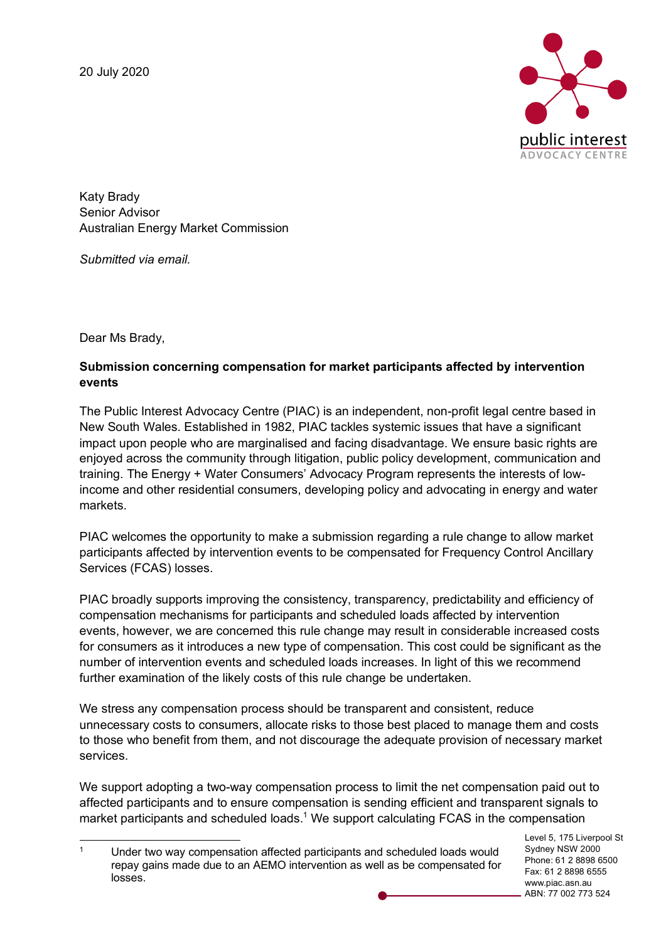

Katy Brady Senior Advisor Australian Energy Market Commission

*Submitted via email.* 

Dear Ms Brady,

## **Submission concerning compensation for market participants affected by intervention events**

The Public Interest Advocacy Centre (PIAC) is an independent, non-profit legal centre based in New South Wales. Established in 1982, PIAC tackles systemic issues that have a significant impact upon people who are marginalised and facing disadvantage. We ensure basic rights are enjoyed across the community through litigation, public policy development, communication and training. The Energy + Water Consumers' Advocacy Program represents the interests of lowincome and other residential consumers, developing policy and advocating in energy and water markets.

PIAC welcomes the opportunity to make a submission regarding a rule change to allow market participants affected by intervention events to be compensated for Frequency Control Ancillary Services (FCAS) losses.

PIAC broadly supports improving the consistency, transparency, predictability and efficiency of compensation mechanisms for participants and scheduled loads affected by intervention events, however, we are concerned this rule change may result in considerable increased costs for consumers as it introduces a new type of compensation. This cost could be significant as the number of intervention events and scheduled loads increases. In light of this we recommend further examination of the likely costs of this rule change be undertaken.

We stress any compensation process should be transparent and consistent, reduce unnecessary costs to consumers, allocate risks to those best placed to manage them and costs to those who benefit from them, and not discourage the adequate provision of necessary market services.

We support adopting a two-way compensation process to limit the net compensation paid out to affected participants and to ensure compensation is sending efficient and transparent signals to market participants and scheduled loads.<sup>1</sup> We support calculating FCAS in the compensation

Level 5, 175 Liverpool St Sydney NSW 2000 Phone: 61 2 8898 6500 Fax: 61 2 8898 6555 www.piac.asn.au ABN: 77 002 773 524

<sup>&</sup>lt;sup>1</sup> Under two way compensation affected participants and scheduled loads would repay gains made due to an AEMO intervention as well as be compensated for losses.